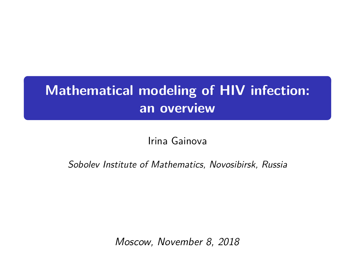## **Mathematical modeling of HIV infection: an overview**

Irina Gainova

Sobolev Institute of Mathematics, Novosibirsk, Russia

Moscow, November 8, 2018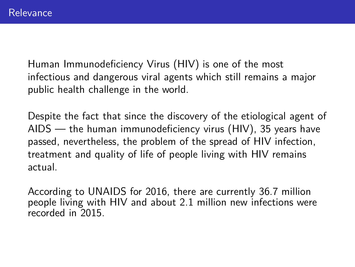Human Immunodeficiency Virus (HIV) is one of the most infectious and dangerous viral agents which still remains a major public health challenge in the world.

Despite the fact that since the discovery of the etiological agent of AIDS — the human immunodeficiency virus (HIV), 35 years have passed, nevertheless, the problem of the spread of HIV infection, treatment and quality of life of people living with HIV remains actual.

According to UNAIDS for 2016, there are currently 36.7 million people living with HIV and about 2.1 million new infections were recorded in 2015.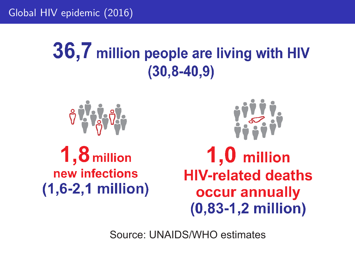Global HIV epidemic (2016)

# 36,7 million people are living with HIV  $(30, 8 - 40, 9)$

$$
\theta \sqrt{\frac{1}{6}} \theta
$$

 $1,8$  million new infections  $(1,6-2,1$  million)



 $1,0$  million **HIV-related deaths** occur annually  $(0,83-1,2$  million)

Source: UNAIDS/WHO estimates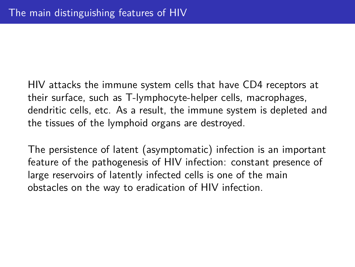HIV attacks the immune system cells that have CD4 receptors at their surface, such as T-lymphocyte-helper cells, macrophages, dendritic cells, etc. As a result, the immune system is depleted and the tissues of the lymphoid organs are destroyed.

The persistence of latent (asymptomatic) infection is an important feature of the pathogenesis of HIV infection: constant presence of large reservoirs of latently infected cells is one of the main obstacles on the way to eradication of HIV infection.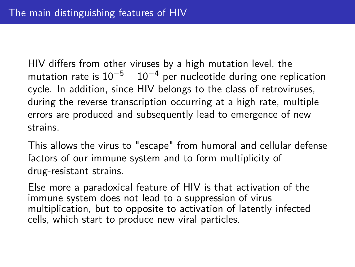HIV differs from other viruses by a high mutation level, the mutation rate is  $10^{-5} - 10^{-4}$  per nucleotide during one replication cycle. In addition, since HIV belongs to the class of retroviruses, during the reverse transcription occurring at a high rate, multiple errors are produced and subsequently lead to emergence of new strains.

This allows the virus to "escape" from humoral and cellular defense factors of our immune system and to form multiplicity of drug-resistant strains.

Else more a paradoxical feature of HIV is that activation of the immune system does not lead to a suppression of virus multiplication, but to opposite to activation of latently infected cells, which start to produce new viral particles.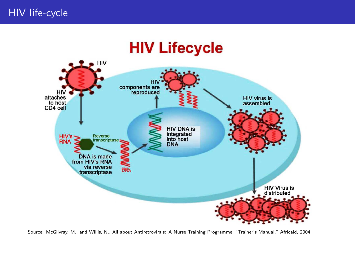## **HIV Lifecycle**



Source: McGilvray, M., and Willis, N., All about Antiretrovirals: A Nurse Training Programme, "Trainer's Manual," Africaid, 2004.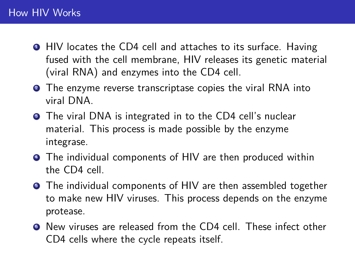- **HIV** locates the CD4 cell and attaches to its surface. Having fused with the cell membrane, HIV releases its genetic material (viral RNA) and enzymes into the CD4 cell.
- **2** The enzyme reverse transcriptase copies the viral RNA into viral DNA.
- **3** The viral DNA is integrated in to the CD4 cell's nuclear material. This process is made possible by the enzyme integrase.
- **•** The individual components of HIV are then produced within the CD4 cell.
- **•** The individual components of HIV are then assembled together to make new HIV viruses. This process depends on the enzyme protease.
- <sup>6</sup> New viruses are released from the CD4 cell. These infect other CD4 cells where the cycle repeats itself.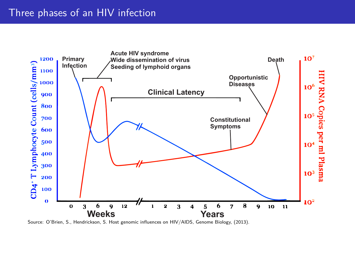#### Three phases of an HIV infection



Source: O'Brien, S., Hendrickson, S. Host genomic influences on HIV/AIDS, Genome Biology, (2013).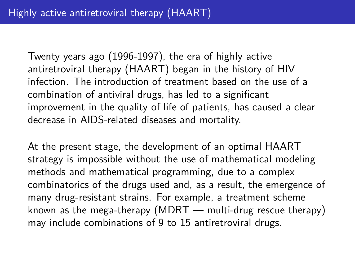Twenty years ago (1996-1997), the era of highly active antiretroviral therapy (HAART) began in the history of HIV infection. The introduction of treatment based on the use of a combination of antiviral drugs, has led to a significant improvement in the quality of life of patients, has caused a clear decrease in AIDS-related diseases and mortality.

At the present stage, the development of an optimal HAART strategy is impossible without the use of mathematical modeling methods and mathematical programming, due to a complex combinatorics of the drugs used and, as a result, the emergence of many drug-resistant strains. For example, a treatment scheme known as the mega-therapy (MDRT — multi-drug rescue therapy) may include combinations of 9 to 15 antiretroviral drugs.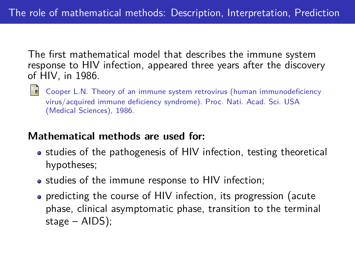The first mathematical model that describes the immune system response to HIV infection, appeared three years after the discovery of HIV, in 1986.

 $\Box$  Cooper L.N. Theory of an immune system retrovirus (human immunodeficiency virus/acquired immune deficiency syndrome). Proc. Nati. Acad. Sci. USA (Medical Sciences), 1986.

### **Mathematical methods are used for:**

- studies of the pathogenesis of HIV infection, testing theoretical hypotheses;
- studies of the immune response to HIV infection;
- predicting the course of HIV infection, its progression (acute phase, clinical asymptomatic phase, transition to the terminal stage – AIDS);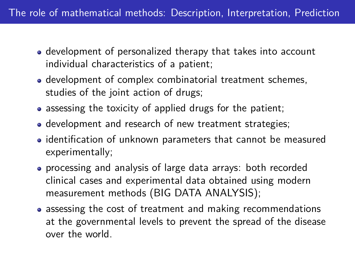- development of personalized therapy that takes into account individual characteristics of a patient;
- development of complex combinatorial treatment schemes, studies of the joint action of drugs;
- assessing the toxicity of applied drugs for the patient;
- development and research of new treatment strategies;
- identification of unknown parameters that cannot be measured experimentally;
- processing and analysis of large data arrays: both recorded clinical cases and experimental data obtained using modern measurement methods (BIG DATA ANALYSIS);
- assessing the cost of treatment and making recommendations at the governmental levels to prevent the spread of the disease over the world.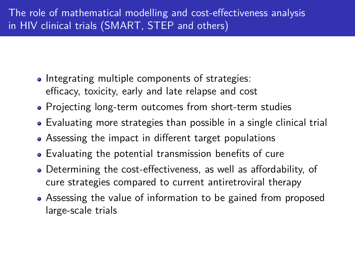- Integrating multiple components of strategies: efficacy, toxicity, early and late relapse and cost
- Projecting long-term outcomes from short-term studies
- Evaluating more strategies than possible in a single clinical trial
- Assessing the impact in different target populations
- Evaluating the potential transmission benefits of cure
- Determining the cost-effectiveness, as well as affordability, of cure strategies compared to current antiretroviral therapy
- Assessing the value of information to be gained from proposed large-scale trials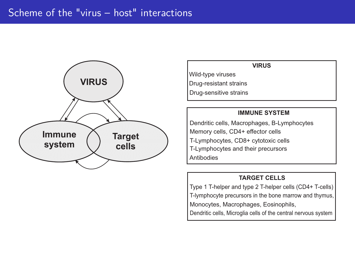

#### **VIRUS**

Wild-type viruses Drug-resistant strains Drug-sensitive strains

#### **IMMUNE SYSTEM**

Dendritic cells, Macrophages, B-Lymphocytes Memory cells, CD4+ effector cells T-Lymphocytes, CD8+ cytotoxic cells T-Lymphocytes and their precursors Antibodies

#### **TARGET CELLS**

Type 1 T-helper and type 2 T-helper cells (CD4+ T-cells) T-lymphocyte precursors in the bone marrow and thymus, Monocytes, Macrophages, Eosinophils,

Dendritic cells, Microglia cells of the central nervous system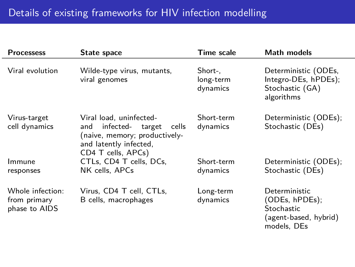| <b>Processess</b>                                 | State space                                                                                                                                    | <b>Time scale</b>                | Math models                                                                          |
|---------------------------------------------------|------------------------------------------------------------------------------------------------------------------------------------------------|----------------------------------|--------------------------------------------------------------------------------------|
| Viral evolution                                   | Wilde-type virus, mutants,<br>viral genomes                                                                                                    | Short-.<br>long-term<br>dynamics | Deterministic (ODEs,<br>Integro-DEs, hPDEs);<br>Stochastic (GA)<br>algorithms        |
| Virus-target<br>cell dynamics                     | Viral load, uninfected-<br>infected-<br>and<br>target<br>cells<br>naive, memory; productively-<br>and latently infected,<br>CD4 T cells, APCs) | Short-term<br>dynamics           | Deterministic (ODEs);<br>Stochastic (DEs)                                            |
| Immune<br>responses                               | CTLs, CD4 T cells, DCs,<br>NK cells, APCs                                                                                                      | Short-term<br>dynamics           | Deterministic (ODEs);<br>Stochastic (DEs)                                            |
| Whole infection:<br>from primary<br>phase to AIDS | Virus, CD4 T cell, CTLs,<br>B cells, macrophages                                                                                               | Long-term<br>dynamics            | Deterministic<br>(ODEs, hPDEs);<br>Stochastic<br>agent-based, hybrid)<br>models, DEs |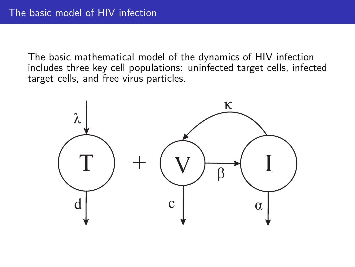The basic mathematical model of the dynamics of HIV infection includes three key cell populations: uninfected target cells, infected target cells, and free virus particles.

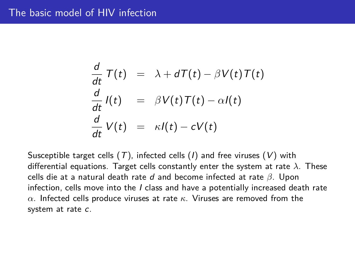#### The basic model of HIV infection

$$
\frac{d}{dt}T(t) = \lambda + dT(t) - \beta V(t)T(t)
$$
\n
$$
\frac{d}{dt}I(t) = \beta V(t)T(t) - \alpha I(t)
$$
\n
$$
\frac{d}{dt}V(t) = \kappa I(t) - cV(t)
$$

Susceptible target cells  $(T)$ , infected cells  $(I)$  and free viruses  $(V)$  with differential equations. Target cells constantly enter the system at rate *λ*. These cells die at a natural death rate d and become infected at rate *β*. Upon infection, cells move into the  $I$  class and have a potentially increased death rate *α*. Infected cells produce viruses at rate *κ*. Viruses are removed from the system at rate c.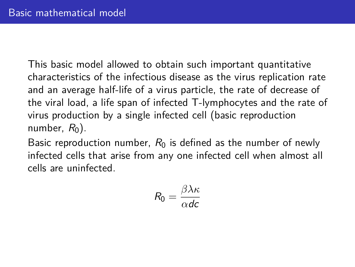This basic model allowed to obtain such important quantitative characteristics of the infectious disease as the virus replication rate and an average half-life of a virus particle, the rate of decrease of the viral load, a life span of infected T-lymphocytes and the rate of virus production by a single infected cell (basic reproduction number,  $R_0$ ).

Basic reproduction number,  $R_0$  is defined as the number of newly infected cells that arise from any one infected cell when almost all cells are uninfected.

$$
R_0 = \frac{\beta \lambda \kappa}{\alpha d c}
$$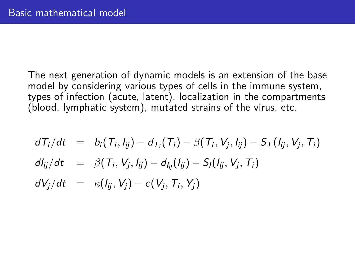The next generation of dynamic models is an extension of the base model by considering various types of cells in the immune system, types of infection (acute, latent), localization in the compartments  $(b$ lood, lymphatic system), mutated strains of the virus, etc.

$$
dT_i/dt = b_i(T_i, l_{ij}) - d_{T_i}(T_i) - \beta(T_i, V_j, l_{ij}) - S_T(l_{ij}, V_j, T_i)
$$
  
\n
$$
dl_{ij}/dt = \beta(T_i, V_j, l_{ij}) - d_{I_{ij}}(l_{ij}) - S_I(l_{ij}, V_j, T_i)
$$
  
\n
$$
dV_j/dt = \kappa(l_{ij}, V_j) - c(V_j, T_i, Y_j)
$$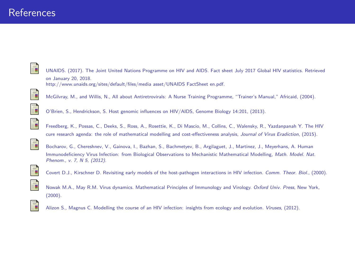### References

ĒΓ

UNAIDS. (2017). The Joint United Nations Programme on HIV and AIDS. Fact sheet July 2017 Global HIV statistics. Retrieved on January 20, 2018. http://www.unaids.org/sites/default/files/media asset/UNAIDS FactSheet en.pdf.

McGilvray, M., and Willis, N., All about Antiretrovirals: A Nurse Training Programme, "Trainer's Manual," Africaid, (2004).



O'Brien, S., Hendrickson, S. Host genomic influences on HIV/AIDS, Genome Biology 14:201, (2013).



Freedberg, K., Possas, C., Deeks, S., Ross, A., Rosettie, K., Di Mascio, M., Collins, C., Walensky, R., Yazdanpanah Y. The HIV cure research agenda: the role of mathematical modelling and cost-effectiveness analysis, Journal of Virus Eradiction, (2015).



Bocharov, G., Chereshnev, V., Gainova, I., Bazhan, S., Bachmetyev, B., Argilaguet, J., Martinez, J., Meyerhans, A. Human Immunodeficiency Virus Infection: from Biological Observations to Mechanistic Mathematical Modelling, Math. Model. Nat. Phenom., v. 7, N 5, (2012).



Covert D.J., Kirschner D. Revisiting early models of the host-pathogen interactions in HIV infection. Comm. Theor. Biol., (2000).





Alizon S., Magnus C. Modelling the course of an HIV infection: insights from ecology and evolution. Viruses, (2012).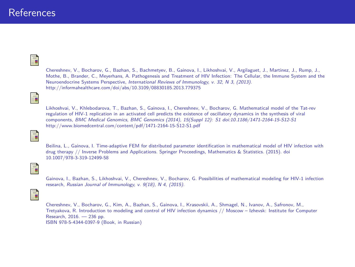#### **References**

## F

Chereshnev, V., Bocharov, G., Bazhan, S., Bachmetyev, B., Gainova, I., Likhoshvai, V., Argilaguet, J., Martinez, J., Rump, J., Mothe, B., Brander, C., Meyerhans, A. Pathogenesis and Treatment of HIV Infection: The Cellular, the Immune System and the Neuroendocrine Systems Perspective, International Reviews of Immunology, v. 32, N 3, (2013). http://informahealthcare.com/doi/abs/10.3109/08830185.2013.779375

#### ā

Likhoshvai, V., Khlebodarova, T., Bazhan, S., Gainova, I., Chereshnev, V., Bocharov, G. Mathematical model of the Tat-rev regulation of HIV-1 replication in an activated cell predicts the existence of oscillatory dynamics in the synthesis of viral components, BMC Medical Genomics, BMC Genomics (2014), 15(Suppl 12): S1 doi:10.1186/1471-2164-15-S12-S1 http://www.biomedcentral.com/content/pdf/1471-2164-15-S12-S1.pdf



Beilina, L., Gainova, I. Time-adaptive FEM for distributed parameter identification in mathematical model of HIV infection with drug therapy // Inverse Problems and Applications. Springer Proceedings, Mathematics & Statistics. (2015). doi 10.1007/978-3-319-12499-58

F.

Gainova, I., Bazhan, S., Likhoshvai, V., Chereshnev, V., Bocharov, G. Possibilities of mathematical modeling for HIV-1 infection research, Russian Journal of Immunology, v. 9(18), N 4, (2015).

#### F

Chereshnev, V., Bocharov, G., Kim, A., Bazhan, S., Gainova, I., Krasovskii, A., Shmagel, N., Ivanov, A., Safronov, M., Tretyakova, R. Introduction to modeling and control of HIV infection dynamics // Moscow – Izhevsk: Institute for Computer Research, 2016. — 236 pp. ISBN 978-5-4344-0397-9 (Book, in Russian)